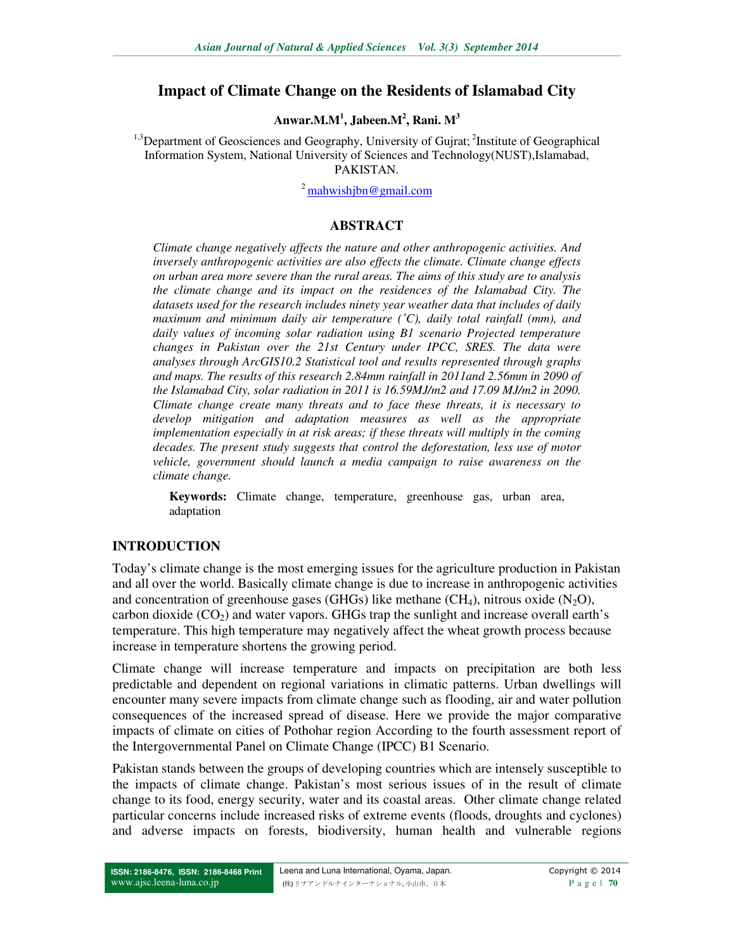## **Impact of Climate Change on the Residents of Islamabad City**

### **Anwar.M.M<sup>1</sup> , Jabeen.M<sup>2</sup> , Rani. M<sup>3</sup>**

 $1.3$ Department of Geosciences and Geography, University of Guirat;  $2$ Institute of Geographical Information System, National University of Sciences and Technology(NUST),Islamabad, PAKISTAN.

 $^{2}$  mahwishibn@gmail.com

### **ABSTRACT**

*Climate change negatively affects the nature and other anthropogenic activities. And inversely anthropogenic activities are also effects the climate. Climate change effects on urban area more severe than the rural areas. The aims of this study are to analysis the climate change and its impact on the residences of the Islamabad City. The datasets used for the research includes ninety year weather data that includes of daily maximum and minimum daily air temperature (˚C), daily total rainfall (mm), and daily values of incoming solar radiation using B1 scenario Projected temperature changes in Pakistan over the 21st Century under IPCC, SRES. The data were analyses through ArcGIS10.2 Statistical tool and results represented through graphs and maps. The results of this research 2.84mm rainfall in 2011and 2.56mm in 2090 of the Islamabad City, solar radiation in 2011 is 16.59MJ/m2 and 17.09 MJ/m2 in 2090. Climate change create many threats and to face these threats, it is necessary to develop mitigation and adaptation measures as well as the appropriate implementation especially in at risk areas; if these threats will multiply in the coming decades. The present study suggests that control the deforestation, less use of motor vehicle, government should launch a media campaign to raise awareness on the climate change.* 

**Keywords:** Climate change, temperature, greenhouse gas, urban area, adaptation

#### **INTRODUCTION**

Today's climate change is the most emerging issues for the agriculture production in Pakistan and all over the world. Basically climate change is due to increase in anthropogenic activities and concentration of greenhouse gases (GHGs) like methane (CH<sub>4</sub>), nitrous oxide (N<sub>2</sub>O), carbon dioxide  $(CO_2)$  and water vapors. GHGs trap the sunlight and increase overall earth's temperature. This high temperature may negatively affect the wheat growth process because increase in temperature shortens the growing period.

Climate change will increase temperature and impacts on precipitation are both less predictable and dependent on regional variations in climatic patterns. Urban dwellings will encounter many severe impacts from climate change such as flooding, air and water pollution consequences of the increased spread of disease. Here we provide the major comparative impacts of climate on cities of Pothohar region According to the fourth assessment report of the Intergovernmental Panel on Climate Change (IPCC) B1 Scenario.

Pakistan stands between the groups of developing countries which are intensely susceptible to the impacts of climate change. Pakistan's most serious issues of in the result of climate change to its food, energy security, water and its coastal areas. Other climate change related particular concerns include increased risks of extreme events (floods, droughts and cyclones) and adverse impacts on forests, biodiversity, human health and vulnerable regions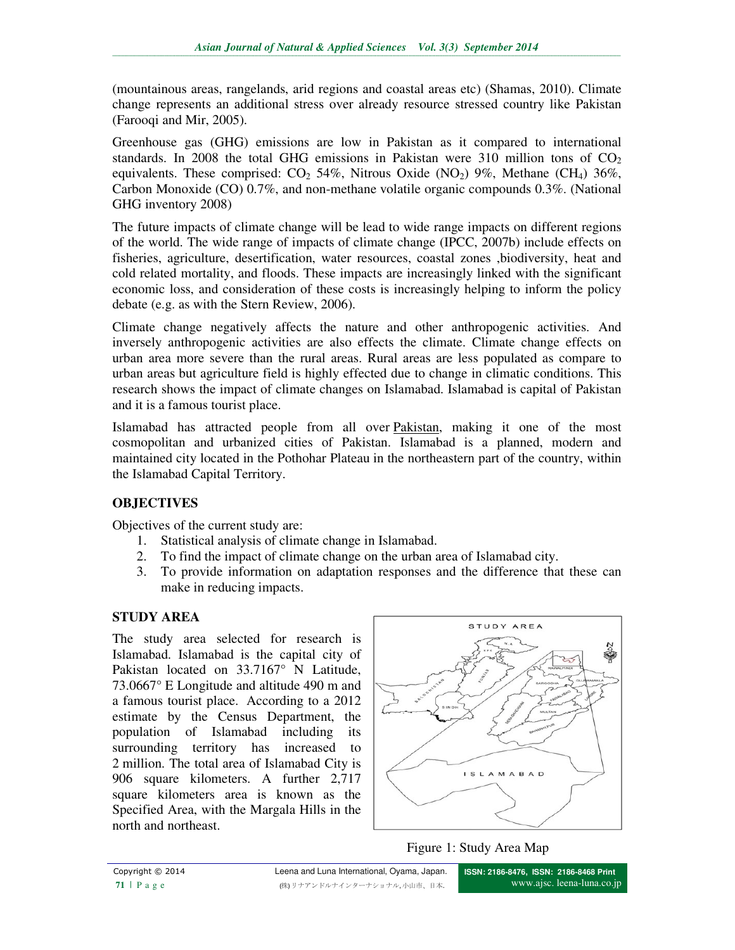(mountainous areas, rangelands, arid regions and coastal areas etc) (Shamas, 2010). Climate change represents an additional stress over already resource stressed country like Pakistan (Farooqi and Mir, 2005).

Greenhouse gas (GHG) emissions are low in Pakistan as it compared to international standards. In 2008 the total GHG emissions in Pakistan were 310 million tons of  $CO<sub>2</sub>$ equivalents. These comprised:  $CO<sub>2</sub> 54\%$ , Nitrous Oxide (NO<sub>2</sub>) 9%, Methane (CH<sub>4</sub>) 36%, Carbon Monoxide (CO) 0.7%, and non-methane volatile organic compounds 0.3%. (National GHG inventory 2008)

The future impacts of climate change will be lead to wide range impacts on different regions of the world. The wide range of impacts of climate change (IPCC, 2007b) include effects on fisheries, agriculture, desertification, water resources, coastal zones ,biodiversity, heat and cold related mortality, and floods. These impacts are increasingly linked with the significant economic loss, and consideration of these costs is increasingly helping to inform the policy debate (e.g. as with the Stern Review, 2006).

Climate change negatively affects the nature and other anthropogenic activities. And inversely anthropogenic activities are also effects the climate. Climate change effects on urban area more severe than the rural areas. Rural areas are less populated as compare to urban areas but agriculture field is highly effected due to change in climatic conditions. This research shows the impact of climate changes on Islamabad. Islamabad is capital of Pakistan and it is a famous tourist place.

Islamabad has attracted people from all over Pakistan, making it one of the most cosmopolitan and urbanized cities of Pakistan. Islamabad is a planned, modern and maintained city located in the Pothohar Plateau in the northeastern part of the country, within the Islamabad Capital Territory.

# **OBJECTIVES**

Objectives of the current study are:

- 1. Statistical analysis of climate change in Islamabad.
- 2. To find the impact of climate change on the urban area of Islamabad city.
- 3. To provide information on adaptation responses and the difference that these can make in reducing impacts.

# **STUDY AREA**

The study area selected for research is Islamabad. Islamabad is the capital city of Pakistan located on 33.7167° N Latitude, 73.0667° E Longitude and altitude 490 m and a famous tourist place. According to a 2012 estimate by the Census Department, the population of Islamabad including its surrounding territory has increased to 2 million. The total area of Islamabad City is 906 square kilometers. A further 2,717 square kilometers area is known as the Specified Area, with the Margala Hills in the north and northeast.



Figure 1: Study Area Map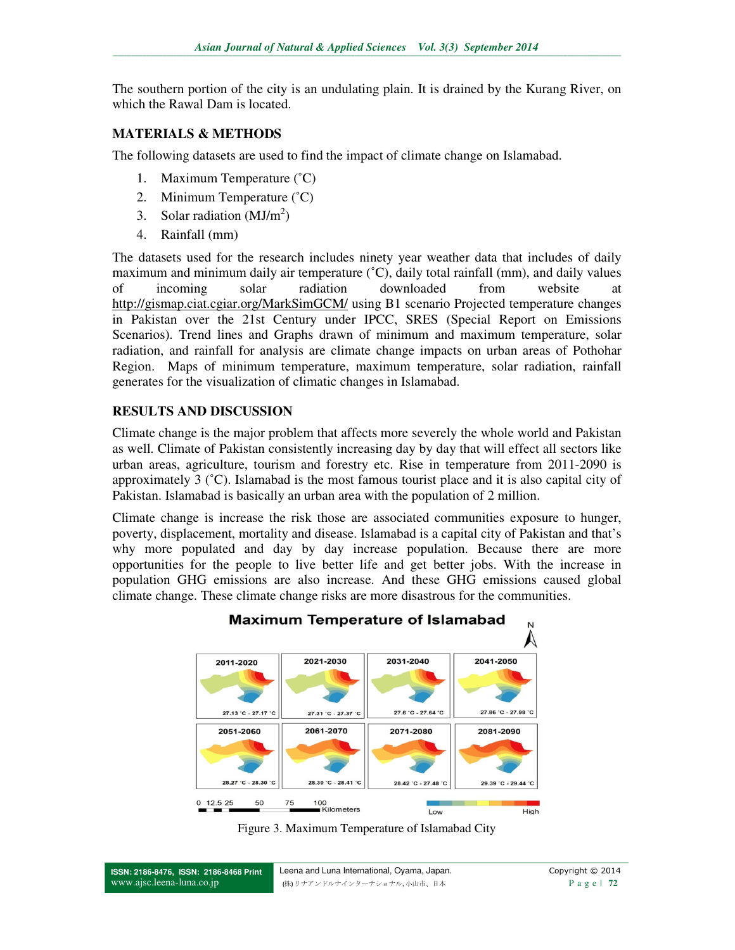The southern portion of the city is an undulating plain. It is drained by the Kurang River, on which the Rawal Dam is located.

## **MATERIALS & METHODS**

The following datasets are used to find the impact of climate change on Islamabad.

- 1. Maximum Temperature (˚C)
- 2. Minimum Temperature (˚C)
- 3. Solar radiation  $(MJ/m<sup>2</sup>)$
- 4. Rainfall (mm)

The datasets used for the research includes ninety year weather data that includes of daily maximum and minimum daily air temperature (˚C), daily total rainfall (mm), and daily values of incoming solar radiation downloaded from website at http://gismap.ciat.cgiar.org/MarkSimGCM/ using B1 scenario Projected temperature changes in Pakistan over the 21st Century under IPCC, SRES (Special Report on Emissions Scenarios). Trend lines and Graphs drawn of minimum and maximum temperature, solar radiation, and rainfall for analysis are climate change impacts on urban areas of Pothohar Region. Maps of minimum temperature, maximum temperature, solar radiation, rainfall generates for the visualization of climatic changes in Islamabad.

## **RESULTS AND DISCUSSION**

Climate change is the major problem that affects more severely the whole world and Pakistan as well. Climate of Pakistan consistently increasing day by day that will effect all sectors like urban areas, agriculture, tourism and forestry etc. Rise in temperature from 2011-2090 is approximately 3 (˚C). Islamabad is the most famous tourist place and it is also capital city of Pakistan. Islamabad is basically an urban area with the population of 2 million.

Climate change is increase the risk those are associated communities exposure to hunger, poverty, displacement, mortality and disease. Islamabad is a capital city of Pakistan and that's why more populated and day by day increase population. Because there are more opportunities for the people to live better life and get better jobs. With the increase in population GHG emissions are also increase. And these GHG emissions caused global climate change. These climate change risks are more disastrous for the communities.



Figure 3. Maximum Temperature of Islamabad City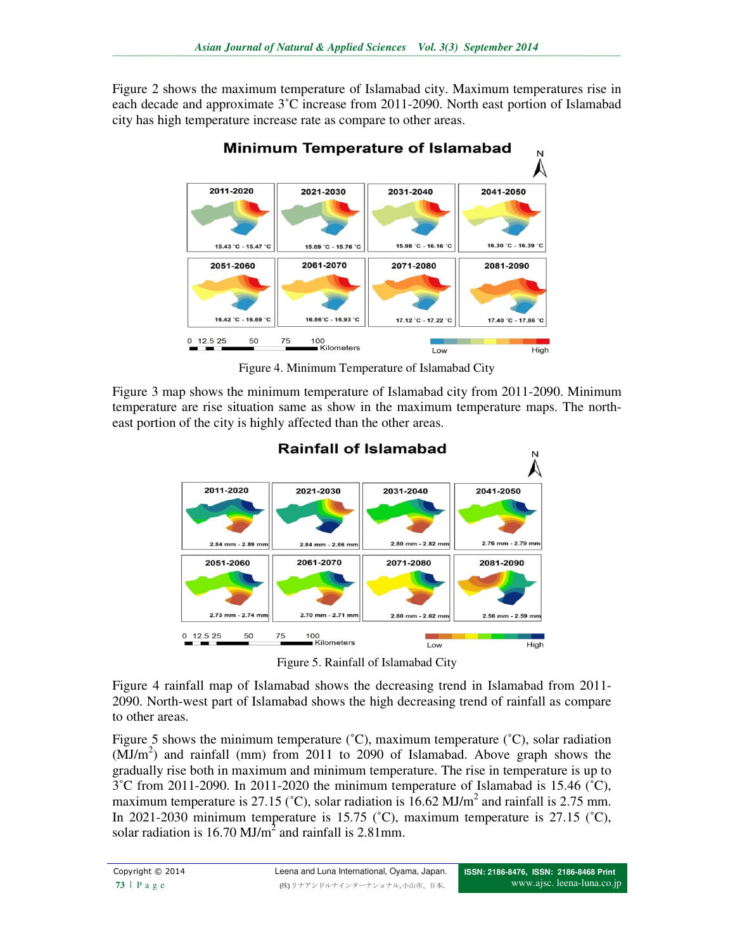Figure 2 shows the maximum temperature of Islamabad city. Maximum temperatures rise in each decade and approximate 3˚C increase from 2011-2090. North east portion of Islamabad city has high temperature increase rate as compare to other areas.



Figure 4. Minimum Temperature of Islamabad City

Figure 3 map shows the minimum temperature of Islamabad city from 2011-2090. Minimum temperature are rise situation same as show in the maximum temperature maps. The northeast portion of the city is highly affected than the other areas.



Figure 5. Rainfall of Islamabad City

Figure 4 rainfall map of Islamabad shows the decreasing trend in Islamabad from 2011- 2090. North-west part of Islamabad shows the high decreasing trend of rainfall as compare to other areas.

Figure 5 shows the minimum temperature  $({}^{\circ}C)$ , maximum temperature  $({}^{\circ}C)$ , solar radiation  $(MJ/m<sup>2</sup>)$  and rainfall (mm) from 2011 to 2090 of Islamabad. Above graph shows the gradually rise both in maximum and minimum temperature. The rise in temperature is up to  $3^{\circ}$ C from 2011-2090. In 2011-2020 the minimum temperature of Islamabad is 15.46  $(^{\circ}$ C), maximum temperature is 27.15 (°C), solar radiation is  $16.62 \text{ MJ/m}^2$  and rainfall is 2.75 mm. In 2021-2030 minimum temperature is 15.75 ( $\degree$ C), maximum temperature is 27.15 ( $\degree$ C), solar radiation is 16.70 MJ/ $m^2$  and rainfall is 2.81mm.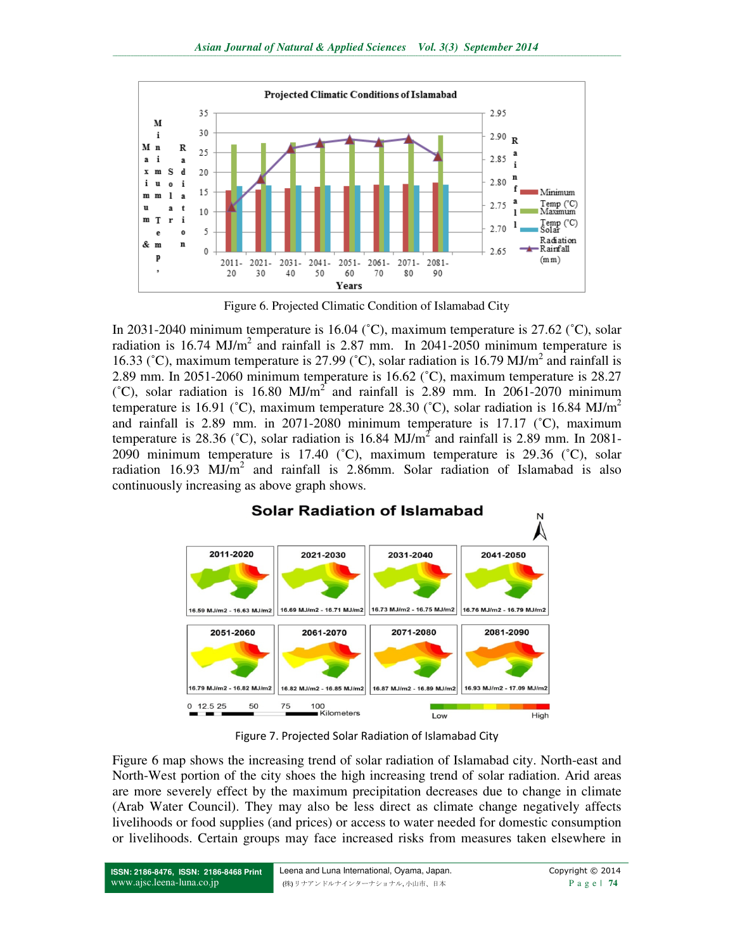

Figure 6. Projected Climatic Condition of Islamabad City

In 2031-2040 minimum temperature is 16.04 (˚C), maximum temperature is 27.62 (˚C), solar radiation is 16.74 MJ/m<sup>2</sup> and rainfall is 2.87 mm. In 2041-2050 minimum temperature is 16.33 ( $^{\circ}$ C), maximum temperature is 27.99 ( $^{\circ}$ C), solar radiation is 16.79 MJ/m<sup>2</sup> and rainfall is 2.89 mm. In 2051-2060 minimum temperature is 16.62 (˚C), maximum temperature is 28.27 ( $^{\circ}$ C), solar radiation is 16.80 MJ/m<sup>2</sup> and rainfall is 2.89 mm. In 2061-2070 minimum temperature is 16.91 (°C), maximum temperature 28.30 (°C), solar radiation is 16.84 MJ/m<sup>2</sup> and rainfall is 2.89 mm. in 2071-2080 minimum temperature is 17.17  $\degree$ C), maximum temperature is 28.36 ( $\degree$ C), solar radiation is 16.84 MJ/m<sup>2</sup> and rainfall is 2.89 mm. In 2081-2090 minimum temperature is 17.40 (˚C), maximum temperature is 29.36 (˚C), solar radiation 16.93  $MJ/m^2$  and rainfall is 2.86mm. Solar radiation of Islamabad is also continuously increasing as above graph shows.



Figure 7. Projected Solar Radiation of Islamabad City

Figure 6 map shows the increasing trend of solar radiation of Islamabad city. North-east and North-West portion of the city shoes the high increasing trend of solar radiation. Arid areas are more severely effect by the maximum precipitation decreases due to change in climate (Arab Water Council). They may also be less direct as climate change negatively affects livelihoods or food supplies (and prices) or access to water needed for domestic consumption or livelihoods. Certain groups may face increased risks from measures taken elsewhere in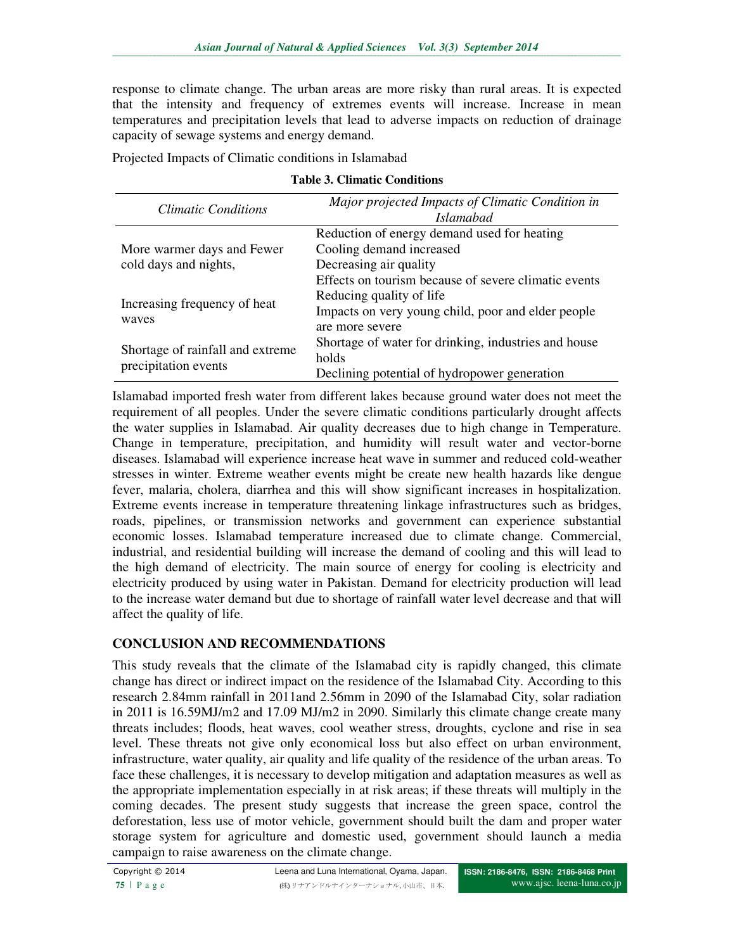response to climate change. The urban areas are more risky than rural areas. It is expected that the intensity and frequency of extremes events will increase. Increase in mean temperatures and precipitation levels that lead to adverse impacts on reduction of drainage capacity of sewage systems and energy demand.

Projected Impacts of Climatic conditions in Islamabad

|  |  | <b>Table 3. Climatic Conditions</b> |
|--|--|-------------------------------------|
|--|--|-------------------------------------|

| <b>Climatic Conditions</b>                               | Major projected Impacts of Climatic Condition in<br><i>Islamabad</i> |
|----------------------------------------------------------|----------------------------------------------------------------------|
| More warmer days and Fewer<br>cold days and nights,      | Reduction of energy demand used for heating                          |
|                                                          | Cooling demand increased                                             |
|                                                          | Decreasing air quality                                               |
|                                                          | Effects on tourism because of severe climatic events                 |
| Increasing frequency of heat<br>waves                    | Reducing quality of life                                             |
|                                                          | Impacts on very young child, poor and elder people                   |
|                                                          | are more severe                                                      |
| Shortage of rainfall and extreme<br>precipitation events | Shortage of water for drinking, industries and house                 |
|                                                          | holds                                                                |
|                                                          | Declining potential of hydropower generation                         |

Islamabad imported fresh water from different lakes because ground water does not meet the requirement of all peoples. Under the severe climatic conditions particularly drought affects the water supplies in Islamabad. Air quality decreases due to high change in Temperature. Change in temperature, precipitation, and humidity will result water and vector-borne diseases. Islamabad will experience increase heat wave in summer and reduced cold-weather stresses in winter. Extreme weather events might be create new health hazards like dengue fever, malaria, cholera, diarrhea and this will show significant increases in hospitalization. Extreme events increase in temperature threatening linkage infrastructures such as bridges, roads, pipelines, or transmission networks and government can experience substantial economic losses. Islamabad temperature increased due to climate change. Commercial, industrial, and residential building will increase the demand of cooling and this will lead to the high demand of electricity. The main source of energy for cooling is electricity and electricity produced by using water in Pakistan. Demand for electricity production will lead to the increase water demand but due to shortage of rainfall water level decrease and that will affect the quality of life.

# **CONCLUSION AND RECOMMENDATIONS**

This study reveals that the climate of the Islamabad city is rapidly changed, this climate change has direct or indirect impact on the residence of the Islamabad City. According to this research 2.84mm rainfall in 2011and 2.56mm in 2090 of the Islamabad City, solar radiation in 2011 is 16.59MJ/m2 and 17.09 MJ/m2 in 2090. Similarly this climate change create many threats includes; floods, heat waves, cool weather stress, droughts, cyclone and rise in sea level. These threats not give only economical loss but also effect on urban environment, infrastructure, water quality, air quality and life quality of the residence of the urban areas. To face these challenges, it is necessary to develop mitigation and adaptation measures as well as the appropriate implementation especially in at risk areas; if these threats will multiply in the coming decades. The present study suggests that increase the green space, control the deforestation, less use of motor vehicle, government should built the dam and proper water storage system for agriculture and domestic used, government should launch a media campaign to raise awareness on the climate change.